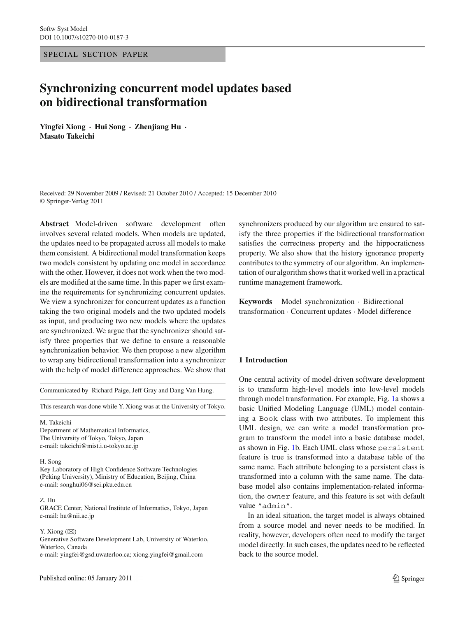## SPECIAL SECTION PAPER

# **Synchronizing concurrent model updates based on bidirectional transformation**

**Yingfei Xiong · Hui Song · Zhenjiang Hu · Masato Takeichi**

Received: 29 November 2009 / Revised: 21 October 2010 / Accepted: 15 December 2010 © Springer-Verlag 2011

**Abstract** Model-driven software development often involves several related models. When models are updated, the updates need to be propagated across all models to make them consistent. A bidirectional model transformation keeps two models consistent by updating one model in accordance with the other. However, it does not work when the two models are modified at the same time. In this paper we first examine the requirements for synchronizing concurrent updates. We view a synchronizer for concurrent updates as a function taking the two original models and the two updated models as input, and producing two new models where the updates are synchronized. We argue that the synchronizer should satisfy three properties that we define to ensure a reasonable synchronization behavior. We then propose a new algorithm to wrap any bidirectional transformation into a synchronizer with the help of model difference approaches. We show that

Communicated by Richard Paige, Jeff Gray and Dang Van Hung.

This research was done while Y. Xiong was at the University of Tokyo.

M. Takeichi

Department of Mathematical Informatics, The University of Tokyo, Tokyo, Japan e-mail: takeichi@mist.i.u-tokyo.ac.jp

#### H. Song

Key Laboratory of High Confidence Software Technologies (Peking University), Ministry of Education, Beijing, China e-mail: songhui06@sei.pku.edu.cn

#### Z. Hu

GRACE Center, National Institute of Informatics, Tokyo, Japan e-mail: hu@nii.ac.jp

## Y. Xiong  $(\boxtimes)$

Generative Software Development Lab, University of Waterloo, Waterloo, Canada e-mail: yingfei@gsd.uwaterloo.ca; xiong.yingfei@gmail.com

synchronizers produced by our algorithm are ensured to satisfy the three properties if the bidirectional transformation satisfies the correctness property and the hippocraticness property. We also show that the history ignorance property contributes to the symmetry of our algorithm. An implementation of our algorithm shows that it worked well in a practical runtime management framework.

**Keywords** Model synchronization · Bidirectional transformation · Concurrent updates · Model difference

## <span id="page-0-0"></span>**1 Introduction**

One central activity of model-driven software development is to transform high-level models into low-level models through model transformation. For example, Fig. [1a](#page-1-0) shows a basic Unified Modeling Language (UML) model containing a Book class with two attributes. To implement this UML design, we can write a model transformation program to transform the model into a basic database model, as shown in Fig. [1b](#page-1-0). Each UML class whose persistent feature is true is transformed into a database table of the same name. Each attribute belonging to a persistent class is transformed into a column with the same name. The database model also contains implementation-related information, the owner feature, and this feature is set with default value "admin".

In an ideal situation, the target model is always obtained from a source model and never needs to be modified. In reality, however, developers often need to modify the target model directly. In such cases, the updates need to be reflected back to the source model.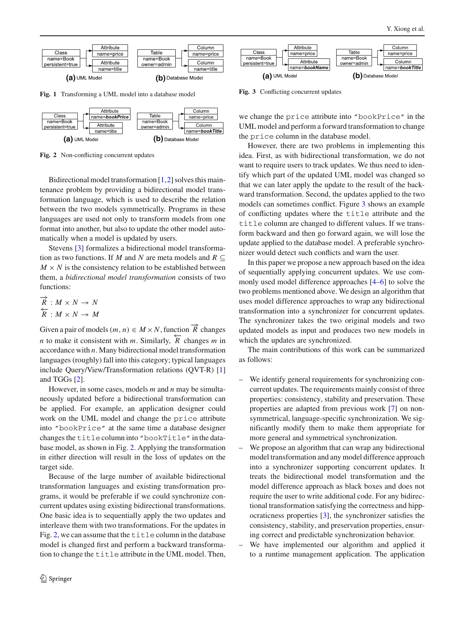

**Fig. 1** Transforming a UML model into a database model

<span id="page-1-0"></span>

<span id="page-1-1"></span>**Fig. 2** Non-conflicting concurrent updates

Bidirectional model transformation [\[1,](#page-14-0)[2\]](#page-14-1) solves this maintenance problem by providing a bidirectional model transformation language, which is used to describe the relation between the two models symmetrically. Programs in these languages are used not only to transform models from one format into another, but also to update the other model automatically when a model is updated by users.

Stevens [\[3](#page-14-2)] formalizes a bidirectional model transformation as two functions. If *M* and *N* are meta models and  $R \subseteq$  $M \times N$  is the consistency relation to be established between them, a *bidirectional model transformation* consists of two functions:

$$
\overrightarrow{R}: M \times N \to N
$$
  

$$
\overleftarrow{R}: M \times N \to M
$$

Given a pair of models  $(m, n) \in M \times N$ , function  $\overrightarrow{R}$  changes *n* to make it consistent with *m*. Similarly,  $\overline{R}$  changes *m* in accordance with *n*. Many bidirectional model transformation languages (roughly) fall into this category; typical languages include Query/View/Transformation relations (QVT-R) [\[1\]](#page-14-0) and TGGs [\[2](#page-14-1)].

However, in some cases, models *m* and *n* may be simultaneously updated before a bidirectional transformation can be applied. For example, an application designer could work on the UML model and change the price attribute into "bookPrice" at the same time a database designer changes the title column into "bookTitle" in the database model, as shown in Fig. [2.](#page-1-1) Applying the transformation in either direction will result in the loss of updates on the target side.

Because of the large number of available bidirectional transformation languages and existing transformation programs, it would be preferable if we could synchronize concurrent updates using existing bidirectional transformations. One basic idea is to sequentially apply the two updates and interleave them with two transformations. For the updates in Fig. [2,](#page-1-1) we can assume that the  $\text{title}$  column in the database model is changed first and perform a backward transformation to change the title attribute in the UML model. Then,



<span id="page-1-2"></span>**Fig. 3** Conflicting concurrent updates

we change the price attribute into "bookPrice" in the UML model and perform a forward transformation to change the price column in the database model.

However, there are two problems in implementing this idea. First, as with bidirectional transformation, we do not want to require users to track updates. We thus need to identify which part of the updated UML model was changed so that we can later apply the update to the result of the backward transformation. Second, the updates applied to the two models can sometimes conflict. Figure [3](#page-1-2) shows an example of conflicting updates where the title attribute and the title column are changed to different values. If we transform backward and then go forward again, we will lose the update applied to the database model. A preferable synchronizer would detect such conflicts and warn the user.

In this paper we propose a new approach based on the idea of sequentially applying concurrent updates. We use commonly used model difference approaches [\[4](#page-14-3)[–6\]](#page-14-4) to solve the two problems mentioned above. We design an algorithm that uses model difference approaches to wrap any bidirectional transformation into a synchronizer for concurrent updates. The synchronizer takes the two original models and two updated models as input and produces two new models in which the updates are synchronized.

The main contributions of this work can be summarized as follows:

- We identify general requirements for synchronizing concurrent updates. The requirements mainly consist of three properties: consistency, stability and preservation. These properties are adapted from previous work [\[7\]](#page-14-5) on nonsymmetrical, language-specific synchronization. We significantly modify them to make them appropriate for more general and symmetrical synchronization.
- We propose an algorithm that can wrap any bidirectional model transformation and any model difference approach into a synchronizer supporting concurrent updates. It treats the bidirectional model transformation and the model difference approach as black boxes and does not require the user to write additional code. For any bidirectional transformation satisfying the correctness and hippocraticness properties [\[3\]](#page-14-2), the synchronizer satisfies the consistency, stability, and preservation properties, ensuring correct and predictable synchronization behavior.
- We have implemented our algorithm and applied it to a runtime management application. The application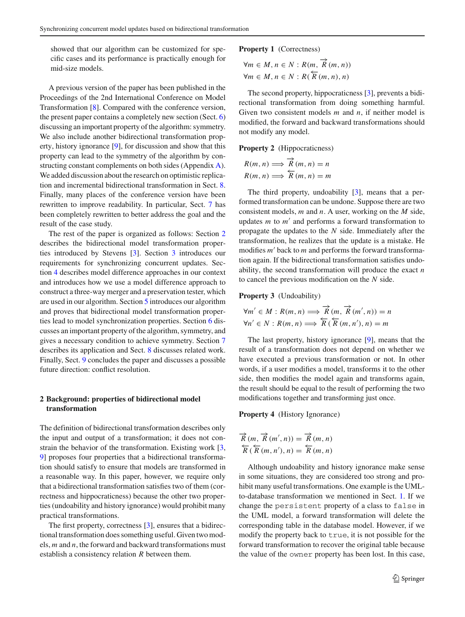showed that our algorithm can be customized for specific cases and its performance is practically enough for mid-size models.

A previous version of the paper has been published in the Proceedings of the 2nd International Conference on Model Transformation [\[8\]](#page-14-6). Compared with the conference version, the present paper contains a completely new section (Sect. [6\)](#page-7-0) discussing an important property of the algorithm: symmetry. We also include another bidirectional transformation property, history ignorance [\[9](#page-14-7)], for discussion and show that this property can lead to the symmetry of the algorithm by constructing constant complements on both sides (Appendix [A\)](#page-12-0). We added discussion about the research on optimistic replication and incremental bidirectional transformation in Sect. [8.](#page-11-0) Finally, many places of the conference version have been rewritten to improve readability. In particular, Sect. [7](#page-9-0) has been completely rewritten to better address the goal and the result of the case study.

The rest of the paper is organized as follows: Section [2](#page-2-0) describes the bidirectional model transformation properties introduced by Stevens [\[3](#page-14-2)]. Section [3](#page-3-0) introduces our requirements for synchronizing concurrent updates. Section [4](#page-4-0) describes model difference approaches in our context and introduces how we use a model difference approach to construct a three-way merger and a preservation tester, which are used in our algorithm. Section [5](#page-6-0) introduces our algorithm and proves that bidirectional model transformation properties lead to model synchronization properties. Section [6](#page-7-0) discusses an important property of the algorithm, symmetry, and gives a necessary condition to achieve symmetry. Section [7](#page-9-0) describes its application and Sect. [8](#page-11-0) discusses related work. Finally, Sect. [9](#page-12-1) concludes the paper and discusses a possible future direction: conflict resolution.

# <span id="page-2-0"></span>**2 Background: properties of bidirectional model transformation**

The definition of bidirectional transformation describes only the input and output of a transformation; it does not constrain the behavior of the transformation. Existing work [\[3,](#page-14-2) [9](#page-14-7)] proposes four properties that a bidirectional transformation should satisfy to ensure that models are transformed in a reasonable way. In this paper, however, we require only that a bidirectional transformation satisfies two of them (correctness and hippocraticness) because the other two properties (undoability and history ignorance) would prohibit many practical transformations.

The first property, correctness [\[3\]](#page-14-2), ensures that a bidirectional transformation does something useful. Given two models, *m* and *n*, the forward and backward transformations must establish a consistency relation *R* between them.

#### **Property 1** (Correctness)

$$
\forall m \in M, n \in N : R(m, \overrightarrow{R}(m, n))
$$
  

$$
\forall m \in M, n \in N : R(\overleftarrow{R}(m, n), n)
$$

The second property, hippocraticness [\[3](#page-14-2)], prevents a bidirectional transformation from doing something harmful. Given two consistent models *m* and *n*, if neither model is modified, the forward and backward transformations should not modify any model.

**Property 2** (Hippocraticness)

$$
R(m, n) \Longrightarrow \overrightarrow{R}(m, n) = n
$$
  

$$
R(m, n) \Longrightarrow \overleftarrow{R}(m, n) = m
$$

The third property, undoability [\[3](#page-14-2)], means that a performed transformation can be undone. Suppose there are two consistent models, *m* and *n*. A user, working on the *M* side, updates  $m$  to  $m'$  and performs a forward transformation to propagate the updates to the *N* side. Immediately after the transformation, he realizes that the update is a mistake. He modifies *m'* back to *m* and performs the forward transformation again. If the bidirectional transformation satisfies undoability, the second transformation will produce the exact *n* to cancel the previous modification on the *N* side.

**Property 3** (Undoability)

$$
\forall m' \in M : R(m, n) \Longrightarrow \overrightarrow{R}(m, \overrightarrow{R}(m', n)) = n
$$
  

$$
\forall n' \in N : R(m, n) \Longrightarrow \overleftarrow{R}(\overleftarrow{R}(m, n'), n) = m
$$

The last property, history ignorance [\[9](#page-14-7)], means that the result of a transformation does not depend on whether we have executed a previous transformation or not. In other words, if a user modifies a model, transforms it to the other side, then modifies the model again and transforms again, the result should be equal to the result of performing the two modifications together and transforming just once.

**Property 4** (History Ignorance)

$$
\overrightarrow{R}(m, \overrightarrow{R}(m', n)) = \overrightarrow{R}(m, n)
$$
  

$$
\overleftarrow{R}(\overleftarrow{R}(m, n'), n) = \overleftarrow{R}(m, n)
$$

Although undoability and history ignorance make sense in some situations, they are considered too strong and prohibit many useful transformations. One example is the UMLto-database transformation we mentioned in Sect. [1.](#page-0-0) If we change the persistent property of a class to false in the UML model, a forward transformation will delete the corresponding table in the database model. However, if we modify the property back to true, it is not possible for the forward transformation to recover the original table because the value of the owner property has been lost. In this case,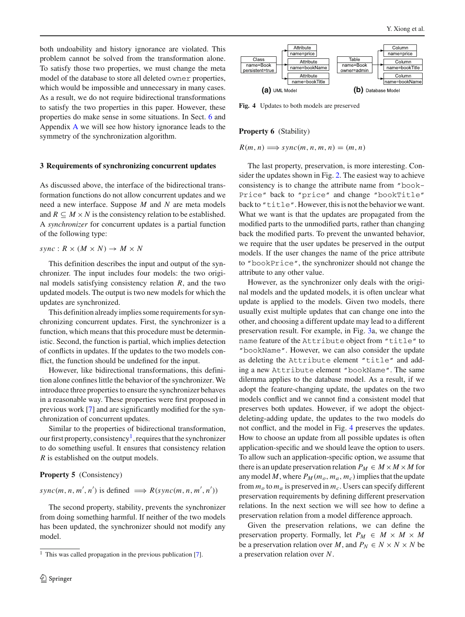both undoability and history ignorance are violated. This problem cannot be solved from the transformation alone. To satisfy those two properties, we must change the meta model of the database to store all deleted owner properties, which would be impossible and unnecessary in many cases. As a result, we do not require bidirectional transformations to satisfy the two properties in this paper. However, these properties do make sense in some situations. In Sect. [6](#page-7-0) and Appendix [A](#page-12-0) we will see how history ignorance leads to the symmetry of the synchronization algorithm.

## <span id="page-3-0"></span>**3 Requirements of synchronizing concurrent updates**

As discussed above, the interface of the bidirectional transformation functions do not allow concurrent updates and we need a new interface. Suppose *M* and *N* are meta models and  $R \subseteq M \times N$  is the consistency relation to be established. A *synchronizer* for concurrent updates is a partial function of the following type:

 $sync: R \times (M \times N) \rightarrow M \times N$ 

This definition describes the input and output of the synchronizer. The input includes four models: the two original models satisfying consistency relation *R*, and the two updated models. The output is two new models for which the updates are synchronized.

This definition already implies some requirements for synchronizing concurrent updates. First, the synchronizer is a function, which means that this procedure must be deterministic. Second, the function is partial, which implies detection of conflicts in updates. If the updates to the two models conflict, the function should be undefined for the input.

However, like bidirectional transformations, this definition alone confines little the behavior of the synchronizer. We introduce three properties to ensure the synchronizer behaves in a reasonable way. These properties were first proposed in previous work [\[7](#page-14-5)] and are significantly modified for the synchronization of concurrent updates.

Similar to the properties of bidirectional transformation, our first property, consistency<sup>[1](#page-3-1)</sup>, requires that the synchronizer to do something useful. It ensures that consistency relation *R* is established on the output models.

## **Property 5** (Consistency)

 $sync(m, n, m', n')$  is defined  $\implies R(sync(m, n, m', n'))$ 

The second property, stability, prevents the synchronizer from doing something harmful. If neither of the two models has been updated, the synchronizer should not modify any model.



<span id="page-3-2"></span>**Fig. 4** Updates to both models are preserved

## **Property 6** (Stability)

 $R(m, n) \Longrightarrow sync(m, n, m, n) = (m, n)$ 

The last property, preservation, is more interesting. Consider the updates shown in Fig. [2.](#page-1-1) The easiest way to achieve consistency is to change the attribute name from "book-Price" back to "price" and change "bookTitle" back to "title". However, this is not the behavior we want. What we want is that the updates are propagated from the modified parts to the unmodified parts, rather than changing back the modified parts. To prevent the unwanted behavior, we require that the user updates be preserved in the output models. If the user changes the name of the price attribute to "bookPrice", the synchronizer should not change the attribute to any other value.

However, as the synchronizer only deals with the original models and the updated models, it is often unclear what update is applied to the models. Given two models, there usually exist multiple updates that can change one into the other, and choosing a different update may lead to a different preservation result. For example, in Fig. [3a](#page-1-2), we change the name feature of the Attribute object from "title" to "bookName". However, we can also consider the update as deleting the Attribute element "title" and adding a new Attribute element "bookName". The same dilemma applies to the database model. As a result, if we adopt the feature-changing update, the updates on the two models conflict and we cannot find a consistent model that preserves both updates. However, if we adopt the objectdeleting-adding update, the updates to the two models do not conflict, and the model in Fig. [4](#page-3-2) preserves the updates. How to choose an update from all possible updates is often application-specific and we should leave the option to users. To allow such an application-specific option, we assume that there is an update preservation relation  $P_M \in M \times M \times M$  for any model *M*, where  $P_M(m_o, m_a, m_c)$  implies that the update from  $m<sub>o</sub>$  to  $m<sub>a</sub>$  is preserved in  $m<sub>c</sub>$ . Users can specify different preservation requirements by defining different preservation relations. In the next section we will see how to define a preservation relation from a model difference approach.

Given the preservation relations, we can define the preservation property. Formally, let  $P_M \in M \times M \times M$ be a preservation relation over *M*, and  $P_N \in N \times N \times N$  be a preservation relation over *N*.

<span id="page-3-1"></span> $<sup>1</sup>$  This was called propagation in the previous publication [\[7](#page-14-5)].</sup>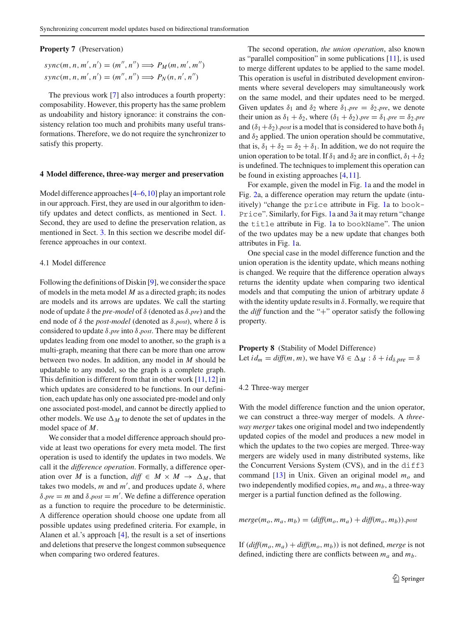#### **Property 7** (Preservation)

$$
sync(m, n, m', n') = (m'', n'') \Longrightarrow P_M(m, m', m'')
$$
  

$$
sync(m, n, m', n') = (m'', n'') \Longrightarrow P_N(n, n', n'')
$$

The previous work [\[7](#page-14-5)] also introduces a fourth property: composability. However, this property has the same problem as undoability and history ignorance: it constrains the consistency relation too much and prohibits many useful transformations. Therefore, we do not require the synchronizer to satisfy this property.

#### <span id="page-4-0"></span>**4 Model difference, three-way merger and preservation**

Model difference approaches [\[4](#page-14-3)[–6](#page-14-4),[10\]](#page-14-8) play an important role in our approach. First, they are used in our algorithm to identify updates and detect conflicts, as mentioned in Sect. [1.](#page-0-0) Second, they are used to define the preservation relation, as mentioned in Sect. [3.](#page-3-0) In this section we describe model difference approaches in our context.

## 4.1 Model difference

Following the definitions of Diskin [\[9](#page-14-7)], we consider the space of models in the meta model *M* as a directed graph; its nodes are models and its arrows are updates. We call the starting node of update δ the *pre-model* of δ (denoted as δ.*pre*) and the end node of δ the *post-model* (denoted as δ.*post*), where δ is considered to update δ.*pre* into δ.*post*. There may be different updates leading from one model to another, so the graph is a multi-graph, meaning that there can be more than one arrow between two nodes. In addition, any model in *M* should be updatable to any model, so the graph is a complete graph. This definition is different from that in other work  $[11,12]$  $[11,12]$  $[11,12]$  in which updates are considered to be functions. In our definition, each update has only one associated pre-model and only one associated post-model, and cannot be directly applied to other models. We use  $\Delta_M$  to denote the set of updates in the model space of *M*.

We consider that a model difference approach should provide at least two operations for every meta model. The first operation is used to identify the updates in two models. We call it the *difference operation*. Formally, a difference operation over *M* is a function,  $\text{diff} \in M \times M \to \Delta_M$ , that takes two models,  $m$  and  $m'$ , and produces update  $\delta$ , where  $\delta$ *pre* = *m* and  $\delta$ *post* = *m*<sup>'</sup>. We define a difference operation as a function to require the procedure to be deterministic. A difference operation should choose one update from all possible updates using predefined criteria. For example, in Alanen et al.'s approach [\[4\]](#page-14-3), the result is a set of insertions and deletions that preserve the longest common subsequence when comparing two ordered features.

The second operation, *the union operation*, also known as "parallel composition" in some publications [\[11](#page-14-9)], is used to merge different updates to be applied to the same model. This operation is useful in distributed development environments where several developers may simultaneously work on the same model, and their updates need to be merged. Given updates  $\delta_1$  and  $\delta_2$  where  $\delta_1$ .*pre* =  $\delta_2$ .*pre*, we denote their union as  $\delta_1 + \delta_2$ , where  $(\delta_1 + \delta_2)$ .*pre* =  $\delta_1$ .*pre* =  $\delta_2$ .*pre* and  $(\delta_1 + \delta_2)$ *, post* is a model that is considered to have both  $\delta_1$ and  $\delta_2$  applied. The union operation should be commutative, that is,  $\delta_1 + \delta_2 = \delta_2 + \delta_1$ . In addition, we do not require the union operation to be total. If  $\delta_1$  and  $\delta_2$  are in conflict,  $\delta_1 + \delta_2$ is undefined. The techniques to implement this operation can be found in existing approaches [\[4,](#page-14-3)[11\]](#page-14-9).

For example, given the model in Fig. [1a](#page-1-0) and the model in Fig. [2a](#page-1-1), a difference operation may return the update (intuitively) "change the price attribute in Fig. [1a](#page-1-0) to book-Price". Similarly, for Figs. [1a](#page-1-0) and [3a](#page-1-2) it may return "change the title attribute in Fig. [1a](#page-1-0) to bookName". The union of the two updates may be a new update that changes both attributes in Fig. [1a](#page-1-0).

One special case in the model difference function and the union operation is the identity update, which means nothing is changed. We require that the difference operation always returns the identity update when comparing two identical models and that computing the union of arbitrary update  $\delta$ with the identity update results in  $\delta$ . Formally, we require that the *diff* function and the "+" operator satisfy the following property.

**Property 8** (Stability of Model Difference) Let  $id_m = diff(m, m)$ , we have  $\forall \delta \in \Delta_M : \delta + id_{\delta, pre} = \delta$ 

#### 4.2 Three-way merger

With the model difference function and the union operator, we can construct a three-way merger of models. A *threeway merger* takes one original model and two independently updated copies of the model and produces a new model in which the updates to the two copies are merged. Three-way mergers are widely used in many distributed systems, like the Concurrent Versions System (CVS), and in the diff3 command  $[13]$  in Unix. Given an original model  $m<sub>o</sub>$  and two independently modified copies,  $m_a$  and  $m_b$ , a three-way merger is a partial function defined as the following.

 $merge(m_o, m_a, m_b) = (diff(m_o, m_a) + diff(m_o, m_b))$ .*post* 

If  $\left( \text{diff}(m_o, m_a) + \text{diff}(m_o, m_b) \right)$  is not defined, *merge* is not defined, indicting there are conflicts between *ma* and *mb*.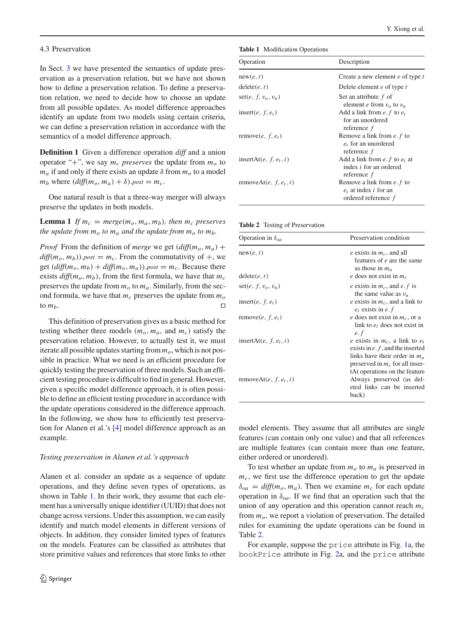## 4.3 Preservation

In Sect. [3](#page-3-0) we have presented the semantics of update preservation as a preservation relation, but we have not shown how to define a preservation relation. To define a preservation relation, we need to decide how to choose an update from all possible updates. As model difference approaches identify an update from two models using certain criteria, we can define a preservation relation in accordance with the semantics of a model difference approach.

**Definition 1** Given a difference operation *diff* and a union operator "+", we say  $m_c$  *preserves* the update from  $m_o$  to  $m_a$  if and only if there exists an update  $\delta$  from  $m_a$  to a model  $m_b$  where  $\left(\text{diff}(m_o, m_a) + \delta\right)$ *post* =  $m_c$ .

<span id="page-5-2"></span>One natural result is that a three-way merger will always preserve the updates in both models.

**Lemma 1** *If*  $m_c = merge(m_o, m_a, m_b)$ , then  $m_c$  preserves *the update from*  $m<sub>o</sub>$  *to*  $m<sub>a</sub>$  *and the update from*  $m<sub>o</sub>$  *to*  $m<sub>b</sub>$ *.* 

*Proof* From the definition of *merge* we get  $\left(\text{diff}(m_o, m_a) + \right)$  $diff(m_o, m_b))$ .*post* =  $m_c$ . From the commutativity of +, we get  $\left(\text{diff}(m_o, m_b) + \text{diff}(m_o, m_a)\right)$ . *post* =  $m_c$ . Because there exists  $diff(m<sub>o</sub>, m<sub>b</sub>)$ , from the first formula, we have that  $m<sub>c</sub>$ preserves the update from  $m<sub>o</sub>$  to  $m<sub>a</sub>$ . Similarly, from the second formula, we have that  $m_c$  preserves the update from  $m_o$ to  $m_b$ .  $\Box$ 

This definition of preservation gives us a basic method for testing whether three models  $(m_o, m_a, \text{ and } m_c)$  satisfy the preservation relation. However, to actually test it, we must iterate all possible updates starting from  $m<sub>o</sub>$ , which is not possible in practice. What we need is an efficient procedure for quickly testing the preservation of three models. Such an efficient testing procedure is difficult to find in general. However, given a specific model difference approach, it is often possible to define an efficient testing procedure in accordance with the update operations considered in the difference approach. In the following, we show how to efficiently test preservation for Alanen et al.'s [\[4\]](#page-14-3) model difference approach as an example.

#### *Testing preservation in Alanen et al.'s approach*

Alanen et al. consider an update as a sequence of update operations, and they define seven types of operations, as shown in Table [1.](#page-5-0) In their work, they assume that each element has a universally unique identifier (UUID) that does not change across versions. Under this assumption, we can easily identify and match model elements in different versions of objects. In addition, they consider limited types of features on the models. Features can be classified as attributes that store primitive values and references that store links to other

|  | <b>Table 1</b> Modification Operations |  |
|--|----------------------------------------|--|
|--|----------------------------------------|--|

<span id="page-5-0"></span>

| Operation                          | Description<br>Create a new element e of type t                                   |  |
|------------------------------------|-----------------------------------------------------------------------------------|--|
| new(e, t)                          |                                                                                   |  |
| delete(e, t)                       | Delete element e of type t                                                        |  |
| set(e, f, $v_o$ , $v_n$ )          | Set an attribute f of<br>element e from $v_0$ to $v_n$                            |  |
| insert $(e, f, e_t)$               | Add a link from $e.f$ to $e_t$<br>for an unordered<br>reference $f$               |  |
| remove $(e, f, e_t)$               | Remove a link from $e.f$ to<br>$e_t$ for an unordered<br>reference f              |  |
| insertAt(e, f, e <sub>t</sub> , i) | Add a link from $e.f$ to $e_t$ at<br>index <i>i</i> for an ordered<br>reference f |  |
| removeAt $(e, f, e_t, i)$          | Remove a link from e. f to<br>$e_t$ at index i for an<br>ordered reference f      |  |

**Table 2** Testing of Preservation

<span id="page-5-1"></span>

| Operation in $\delta_{oa}$ | Preservation condition                                                                                                                                                                 |
|----------------------------|----------------------------------------------------------------------------------------------------------------------------------------------------------------------------------------|
| new(e, t)                  | e exists in $m_c$ , and all<br>features of e are the same<br>as those in $m_a$                                                                                                         |
| delete(e, t)               | e does not exist in $m_c$                                                                                                                                                              |
| set(e, f, $v_o$ , $v_n$ )  | e exists in $m_c$ , and e. f is<br>the same value as $v_n$                                                                                                                             |
| insert $(e, f, e_t)$       | e exists in $m_c$ , and a link to<br>$e_t$ exists in e.f                                                                                                                               |
| remove $(e, f, e_t)$       | e does not exist in $m_c$ , or a<br>link to $e_t$ does not exist in<br>e. f                                                                                                            |
| insertAt $(e, f, e_t, i)$  | e exists in $m_c$ , a link to $e_t$<br>exists in $e$ . $f$ , and the inserted<br>links have their order in $m_a$<br>preserved in $m_c$ for all inser-<br>tAt operations on the feature |
| removeAt $(e, f, e_t, i)$  | Always preserved (as del-<br>eted links can be inserted<br>back)                                                                                                                       |

model elements. They assume that all attributes are single features (can contain only one value) and that all references are multiple features (can contain more than one feature, either ordered or unordered).

To test whether an update from  $m<sub>o</sub>$  to  $m<sub>a</sub>$  is preserved in *mc*, we first use the difference operation to get the update  $\delta_{oa} = \text{diff}(m_o, m_a)$ . Then we examine  $m_c$  for each update operation in  $\delta_{oa}$ . If we find that an operation such that the union of any operation and this operation cannot reach *mc* from  $m<sub>o</sub>$ , we report a violation of preservation. The detailed rules for examining the update operations can be found in Table [2.](#page-5-1)

For example, suppose the price attribute in Fig. [1a](#page-1-0), the bookPrice attribute in Fig. [2a](#page-1-1), and the price attribute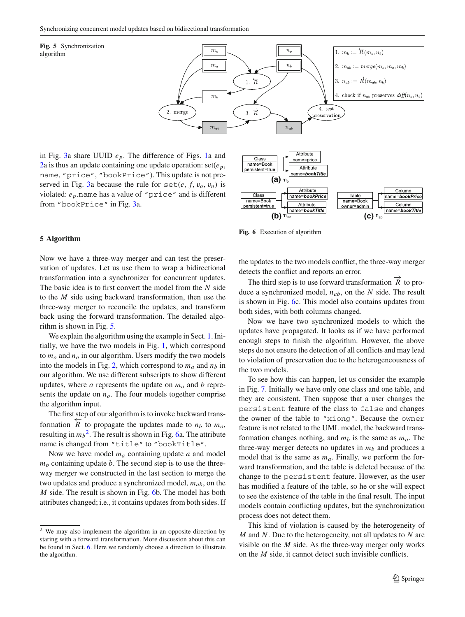<span id="page-6-1"></span>

 $m_{al}$ 



in Fig. [3a](#page-1-2) share UUID *ep*. The difference of Figs. [1a](#page-1-0) and [2a](#page-1-1) is thus an update containing one update operation:  $set(e_p,$ name, "price", "bookPrice"). This update is not pre-served in Fig. [3a](#page-1-2) because the rule for  $set(e, f, v_o, v_n)$  is violated:  $e_p$  name has a value of "price" and is different from "bookPrice" in Fig. [3a](#page-1-2).



## <span id="page-6-0"></span>**5 Algorithm**

Now we have a three-way merger and can test the preservation of updates. Let us use them to wrap a bidirectional transformation into a synchronizer for concurrent updates. The basic idea is to first convert the model from the *N* side to the *M* side using backward transformation, then use the three-way merger to reconcile the updates, and transform back using the forward transformation. The detailed algorithm is shown in Fig. [5.](#page-6-1)

We explain the algorithm using the example in Sect. [1.](#page-0-0) Initially, we have the two models in Fig. [1,](#page-1-0) which correspond to  $m<sub>o</sub>$  and  $n<sub>o</sub>$  in our algorithm. Users modify the two models into the models in Fig. [2,](#page-1-1) which correspond to  $m_a$  and  $n_b$  in our algorithm. We use different subscripts to show different updates, where *a* represents the update on  $m<sub>o</sub>$  and *b* represents the update on  $n<sub>o</sub>$ . The four models together comprise the algorithm input.

The first step of our algorithm is to invoke backward transformation  $\overline{R}$  to propagate the updates made to *n<sub>b</sub>* to *m<sub>o</sub>*, resulting in  $m_b^2$  $m_b^2$ . The result is shown in Fig. [6a](#page-6-3). The attribute name is changed from "title" to "bookTitle".

Now we have model *ma* containing update *a* and model  $m_b$  containing update  $b$ . The second step is to use the threeway merger we constructed in the last section to merge the two updates and produce a synchronized model, *mab*, on the *M* side. The result is shown in Fig. [6b](#page-6-3). The model has both attributes changed; i.e., it contains updates from both sides. If

<span id="page-6-3"></span>**Fig. 6** Execution of algorithm

 $n_{ab}$ 

the updates to the two models conflict, the three-way merger detects the conflict and reports an error.

The third step is to use forward transformation  $\overrightarrow{R}$  to produce a synchronized model,  $n_{ab}$ , on the *N* side. The result is shown in Fig. [6c](#page-6-3). This model also contains updates from both sides, with both columns changed.

Now we have two synchronized models to which the updates have propagated. It looks as if we have performed enough steps to finish the algorithm. However, the above steps do not ensure the detection of all conflicts and may lead to violation of preservation due to the heterogeneousness of the two models.

To see how this can happen, let us consider the example in Fig. [7.](#page-7-1) Initially we have only one class and one table, and they are consistent. Then suppose that a user changes the persistent feature of the class to false and changes the owner of the table to "xiong". Because the owner feature is not related to the UML model, the backward transformation changes nothing, and  $m_b$  is the same as  $m_o$ . The three-way merger detects no updates in  $m<sub>b</sub>$  and produces a model that is the same as  $m_a$ . Finally, we perform the forward transformation, and the table is deleted because of the change to the persistent feature. However, as the user has modified a feature of the table, so he or she will expect to see the existence of the table in the final result. The input models contain conflicting updates, but the synchronization process does not detect them.

This kind of violation is caused by the heterogeneity of *M* and *N*. Due to the heterogeneity, not all updates to *N* are visible on the *M* side. As the three-way merger only works on the *M* side, it cannot detect such invisible conflicts.

<span id="page-6-2"></span> $\sqrt{2}$  We may also implement the algorithm in an opposite direction by staring with a forward transformation. More discussion about this can be found in Sect. [6.](#page-7-0) Here we randomly choose a direction to illustrate the algorithm.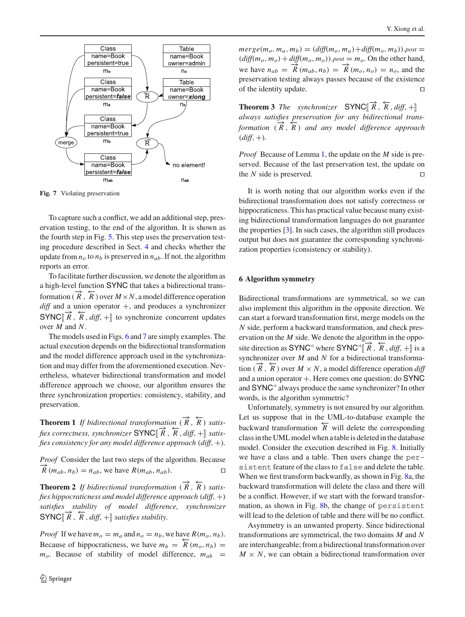

<span id="page-7-1"></span>**Fig. 7** Violating preservation

To capture such a conflict, we add an additional step, preservation testing, to the end of the algorithm. It is shown as the fourth step in Fig. [5.](#page-6-1) This step uses the preservation testing procedure described in Sect. [4](#page-4-0) and checks whether the update from  $n<sub>o</sub>$  to  $n<sub>b</sub>$  is preserved in  $n<sub>ab</sub>$ . If not, the algorithm reports an error.

To facilitate further discussion, we denote the algorithm as a high-level function SYNC that takes a bidirectional transformation ( $\vec{R}$ ,  $\vec{R}$ ) over  $M \times N$ , a model difference operation  $diff$  and a union operator  $+$ , and produces a synchronizer  $\text{SYNC}[\overline{R}, \overline{R}, \text{diff}, +]$  to synchronize concurrent updates over *M* and *N*.

The models used in Figs. [6](#page-6-3) and [7](#page-7-1) are simply examples. The actual execution depends on the bidirectional transformation and the model difference approach used in the synchronization and may differ from the aforementioned execution. Nevertheless, whatever bidirectional transformation and model difference approach we choose, our algorithm ensures the three synchronization properties: consistency, stability, and preservation.

**Theorem 1** If bidirectional transformation  $(\vec{R}, \hat{R})$  satis $f$  is correctness, synchronizer SYNC $\Gamma$ **R**,  $\overline{R}$ ,  $\overline{d}$ *iff*,  $+$  satis*fies consistency for any model difference approach* (*diff*, +)*.*

*Proof* Consider the last two steps of the algorithm. Because  $\overrightarrow{R}(m_{ab}, n_b) = n_{ab}$ , we have  $R(m_{ab}, n_{ab})$ .  $\Box$ 

**Theorem 2** If bidirectional transformation  $(\overrightarrow{R}, \overleftarrow{R})$  satis*fies hippocraticness and model difference approach* (*diff*, +) *satisfies stability of model difference, synchronizer*  $\text{SYNC}[\overrightarrow{R}, \overleftarrow{R}, \textit{diff}, +]$  satisfies stability.

*Proof* If we have  $m_o = m_a$  and  $n_o = n_b$ , we have  $R(m_o, n_b)$ . Because of hippocraticness, we have  $m_b = \overline{R}(m_o, n_b)$  =  $m<sub>o</sub>$ . Because of stability of model difference,  $m<sub>ab</sub>$  =  $merge(m_o, m_a, m_b) = (diff(m_o, m_a) + diff(m_o, m_b))$ .*post* =  $(diff(m<sub>o</sub>, m<sub>o</sub>) + diff(m<sub>o</sub>, m<sub>o</sub>))$ .*post* =  $m<sub>o</sub>$ . On the other hand, we have  $n_{ab} = \overrightarrow{R}(m_{ab}, n_b) = \overrightarrow{R}(m_o, n_o) = n_o$ , and the preservation testing always passes because of the existence of the identity update.  $\Box$ 

**Theorem 3** *The synchronizer* **SYNC** $[\vec{R}, \overleftarrow{R}, \overrightarrow{diff}, +]$ *always satisfies preservation for any bidirectional transformation*  $(\overline{R}, \overline{R})$  *and any model difference approach*  $(diff, +)$ .

*Proof* Because of Lemma [1,](#page-5-2) the update on the *M* side is preserved. Because of the last preservation test, the update on the *N* side is preserved.  $\Box$ 

It is worth noting that our algorithm works even if the bidirectional transformation does not satisfy correctness or hippocraticness. This has practical value because many existing bidirectional transformation languages do not guarantee the properties [\[3\]](#page-14-2). In such cases, the algorithm still produces output but does not guarantee the corresponding synchronization properties (consistency or stability).

#### <span id="page-7-0"></span>**6 Algorithm symmetry**

Bidirectional transformations are symmetrical, so we can also implement this algorithm in the opposite direction. We can start a forward transformation first, merge models on the *N* side, perform a backward transformation, and check preservation on the *M* side. We denote the algorithm in the opposite direction as SYNC<sup> $\triangleleft$ </sup> where SYNC<sup> $\triangleleft$ </sup>  $\[ \overrightarrow{R}, \overleftarrow{R}, \overrightarrow{diff}, + \]$  is a synchronizer over *M* and *N* for a bidirectional transformation  $(\overrightarrow{R}, \overleftarrow{R})$  over  $M \times N$ , a model difference operation *diff* and a union operator  $+$ . Here comes one question: do SYNC and SYNC always produce the same synchronizer? In other words, is the algorithm symmetric?

Unfortunately, symmetry is not ensured by our algorithm. Let us suppose that in the UML-to-database example the backward transformation  $\overline{R}$  will delete the corresponding class in the UML model when a table is deleted in the database model. Consider the execution described in Fig. [8.](#page-8-0) Initially we have a class and a table. Then users change the persistent feature of the class to false and delete the table. When we first transform backwardly, as shown in Fig. [8a](#page-8-0), the backward transformation will delete the class and there will be a conflict. However, if we start with the forward transformation, as shown in Fig. [8b](#page-8-0), the change of persistent will lead to the deletion of table and there will be no conflict.

Asymmetry is an unwanted property. Since bidirectional transformations are symmetrical, the two domains *M* and *N* are interchangeable; from a bidirectional transformation over  $M \times N$ , we can obtain a bidirectional transformation over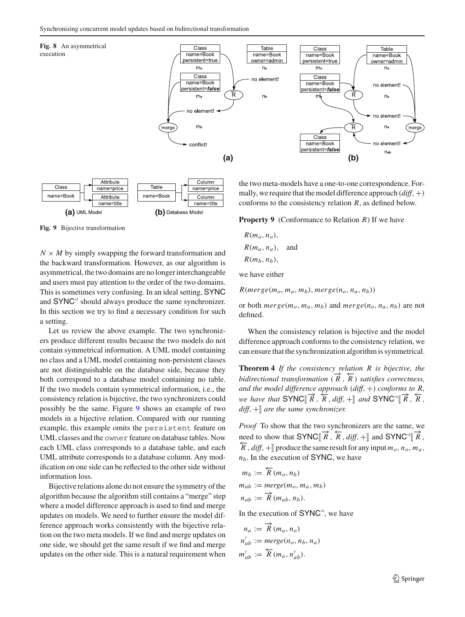<span id="page-8-0"></span>



<span id="page-8-1"></span>**Fig. 9** Bijective transformation

 $N \times M$  by simply swapping the forward transformation and the backward transformation. However, as our algorithm is asymmetrical, the two domains are no longer interchangeable and users must pay attention to the order of the two domains. This is sometimes very confusing. In an ideal setting, SYNC and SYNC<sup>«</sup> should always produce the same synchronizer. In this section we try to find a necessary condition for such a setting.

Let us review the above example. The two synchronizers produce different results because the two models do not contain symmetrical information. A UML model containing no class and a UML model containing non-persistent classes are not distinguishable on the database side, because they both correspond to a database model containing no table. If the two models contain symmetrical information, i.e., the consistency relation is bijective, the two synchronizers could possibly be the same. Figure [9](#page-8-1) shows an example of two models in a bijective relation. Compared with our running example, this example omits the persistent feature on UML classes and the owner feature on database tables. Now each UML class corresponds to a database table, and each UML attribute corresponds to a database column. Any modification on one side can be reflected to the other side without information loss.

Bijective relations alone do not ensure the symmetry of the algorithm because the algorithm still contains a "merge" step where a model difference approach is used to find and merge updates on models. We need to further ensure the model difference approach works consistently with the bijective relation on the two meta models. If we find and merge updates on one side, we should get the same result if we find and merge updates on the other side. This is a natural requirement when the two meta-models have a one-to-one correspondence. Formally, we require that the model difference approach  $\left(\frac{diff}{}, +\right)$ conforms to the consistency relation *R*, as defined below.

**Property 9** (Conformance to Relation *R*) If we have

| $R(m_o, n_o)$ , |                     |  |
|-----------------|---------------------|--|
|                 | $R(m_a, n_a)$ , and |  |
| $R(m_b, n_b)$ , |                     |  |
|                 |                     |  |

we have either

 $R(merge(m_o, m_a, m_b), merge(n_o, n_a, n_b))$ 

or both  $merge(m_o, m_a, m_b)$  and  $merge(n_o, n_a, n_b)$  are not defined.

When the consistency relation is bijective and the model difference approach conforms to the consistency relation, we can ensure that the synchronization algorithm is symmetrical.

**Theorem 4** *If the consistency relation R is bijective, the bidirectional transformation* ( $\overrightarrow{R}$ ,  $\overleftarrow{R}$ ) *satisfies correctness*, *and the model difference approach* (*diff*, +) *conforms to R,*  $\mathbb{R}^n$  we have that SYNC  $\begin{bmatrix} \vec{R}, \vec{R}, \vec{d} \text{iff}, + \end{bmatrix}$  and SYNC<sup> $\alpha$ </sup> $\begin{bmatrix} \vec{R}, \vec{R}, \end{bmatrix}$ *diff*,  $+$ *<sup>* $\parallel$ *</sup> are the same synchronizer.* 

*Proof* To show that the two synchronizers are the same, we  $\overline{R}$ ,  $\overline{R}$ ,  $\overline{R}$ ,  $\overline{R}$ ,  $\overline{d}$ ,  $\overline{f}$ ,  $\overline{R}$  and SYNC<sup> $\alpha$ </sup>  $\overrightarrow{R}$ ,  $\overrightarrow{R}$  ,  $\overrightarrow{R}$ ,  $\overrightarrow{R}$ ,  $\overrightarrow{R}$ ,  $\overrightarrow{R}$ ,  $\overrightarrow{R}$ ,  $\overrightarrow{R}$ ,  $\overrightarrow{R}$ ,  $\overrightarrow{R}$ ,  $\overrightarrow{R}$ ,  $\overrightarrow{R}$ ,  $\overrightarrow{R}$ ,  $\overrightarrow{R}$ ,  $\overrightarrow{R}$ ,  $\overrightarrow{R}$ ,  $\overrightarrow{R}$ ,  $\overrightarrow{R}$ ,  $\overrightarrow{R}$ ,  $\overrightarrow{R}$ ,  $\overrightarrow{R}$ ,  $\overrightarrow{R}$ ,  $\overline{R}$ , *diff*,  $+$  produce the same result for any input  $m_0$ ,  $n_0$ ,  $m_a$ ,  $n_b$ . In the execution of SYNC, we have

$$
m_b := \overleftarrow{R}(m_o, n_b)
$$
  
\n
$$
m_{ab} := merge(m_o, m_a, m_b)
$$
  
\n
$$
n_{ab} := \overrightarrow{R}(m_{ab}, n_b).
$$

In the execution of  $\text{SYNC}^4$ , we have

$$
n_a := \overrightarrow{R}(m_a, n_o)
$$
  
\n
$$
n'_{ab} := merge(n_o, n_b, n_a)
$$
  
\n
$$
m'_{ab} := \overleftarrow{R}(m_a, n'_{ab}).
$$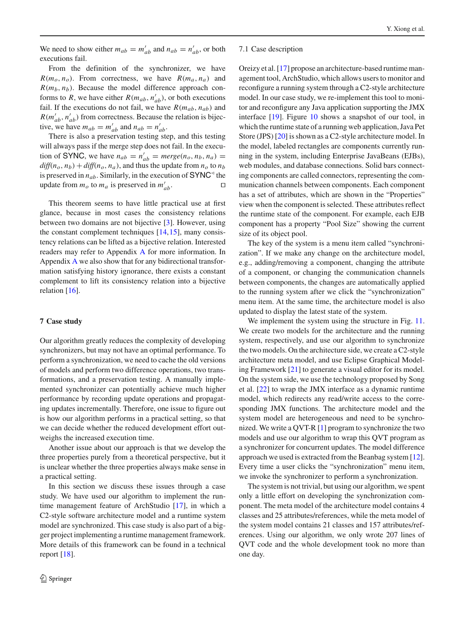We need to show either  $m_{ab} = m'_{ab}$  and  $n_{ab} = n'_{ab}$ , or both executions fail.

From the definition of the synchronizer, we have  $R(m_0, n_0)$ . From correctness, we have  $R(m_a, n_a)$  and  $R(m_b, n_b)$ . Because the model difference approach conforms to *R*, we have either  $R(m_{ab}, n'_{ab})$ , or both executions fail. If the executions do not fail, we have  $R(m_{ab}, n_{ab})$  and  $R(m'_{ab}, n'_{ab})$  from correctness. Because the relation is bijective, we have  $m_{ab} = m'_{ab}$  and  $n_{ab} = n'_{ab}$ .

There is also a preservation testing step, and this testing will always pass if the merge step does not fail. In the execution of SYNC, we have  $n_{ab} = n'_{ab} = merge(n_o, n_b, n_a)$  $diff(n_o, n_b) + diff(n_o, n_a)$ , and thus the update from  $n_o$  to  $n_b$ is preserved in  $n_{ab}$ . Similarly, in the execution of  $\text{SYNC}^{\triangleleft}$  the update from  $m_o$  to  $m_a$  is preserved in  $m'_{ab}$ .  $\Box$ 

This theorem seems to have little practical use at first glance, because in most cases the consistency relations between two domains are not bijective [\[3\]](#page-14-2). However, using the constant complement techniques [\[14](#page-14-12)[,15\]](#page-14-13), many consistency relations can be lifted as a bijective relation. Interested readers may refer to Appendix [A](#page-12-0) for more information. In Appendix [A](#page-12-0) we also show that for any bidirectional transformation satisfying history ignorance, there exists a constant complement to lift its consistency relation into a bijective relation [\[16](#page-14-14)].

#### <span id="page-9-0"></span>**7 Case study**

Our algorithm greatly reduces the complexity of developing synchronizers, but may not have an optimal performance. To perform a synchronization, we need to cache the old versions of models and perform two difference operations, two transformations, and a preservation testing. A manually implemented synchronizer can potentially achieve much higher performance by recording update operations and propagating updates incrementally. Therefore, one issue to figure out is how our algorithm performs in a practical setting, so that we can decide whether the reduced development effort outweighs the increased execution time.

Another issue about our approach is that we develop the three properties purely from a theoretical perspective, but it is unclear whether the three properties always make sense in a practical setting.

In this section we discuss these issues through a case study. We have used our algorithm to implement the runtime management feature of ArchStudio [\[17\]](#page-14-15), in which a C2-style software architecture model and a runtime system model are synchronized. This case study is also part of a bigger project implementing a runtime management framework. More details of this framework can be found in a technical report [\[18\]](#page-14-16).

#### 7.1 Case description

Oreizy et al. [\[17\]](#page-14-15) propose an architecture-based runtime management tool, ArchStudio, which allows users to monitor and reconfigure a running system through a C2-style architecture model. In our case study, we re-implement this tool to monitor and reconfigure any Java application supporting the JMX interface [\[19\]](#page-14-17). Figure [10](#page-10-0) shows a snapshot of our tool, in which the runtime state of a running web application, Java Pet Store (JPS) [\[20](#page-14-18)] is shown as a C2-style architecture model. In the model, labeled rectangles are components currently running in the system, including Enterprise JavaBeans (EJBs), web modules, and database connections. Solid bars connecting components are called connectors, representing the communication channels between components. Each component has a set of attributes, which are shown in the "Properties" view when the component is selected. These attributes reflect the runtime state of the component. For example, each EJB component has a property "Pool Size" showing the current size of its object pool.

The key of the system is a menu item called "synchronization". If we make any change on the architecture model, e.g., adding/removing a component, changing the attribute of a component, or changing the communication channels between components, the changes are automatically applied to the running system after we click the "synchronization" menu item. At the same time, the architecture model is also updated to display the latest state of the system.

We implement the system using the structure in Fig. [11.](#page-10-1) We create two models for the architecture and the running system, respectively, and use our algorithm to synchronize the two models. On the architecture side, we create a C2-style architecture meta model, and use Eclipse Graphical Modeling Framework [\[21](#page-14-19)] to generate a visual editor for its model. On the system side, we use the technology proposed by Song et al. [\[22](#page-14-20)] to wrap the JMX interface as a dynamic runtime model, which redirects any read/write access to the corresponding JMX functions. The architecture model and the system model are heterogeneous and need to be synchronized. We write a QVT-R [\[1](#page-14-0)] program to synchronize the two models and use our algorithm to wrap this QVT program as a synchronizer for concurrent updates. The model difference approach we used is extracted from the Beanbag system [\[12](#page-14-10)]. Every time a user clicks the "synchronization" menu item, we invoke the synchronizer to perform a synchronization.

The system is not trivial, but using our algorithm, we spent only a little effort on developing the synchronization component. The meta model of the architecture model contains 4 classes and 25 attributes/references, while the meta model of the system model contains 21 classes and 157 attributes/references. Using our algorithm, we only wrote 207 lines of QVT code and the whole development took no more than one day.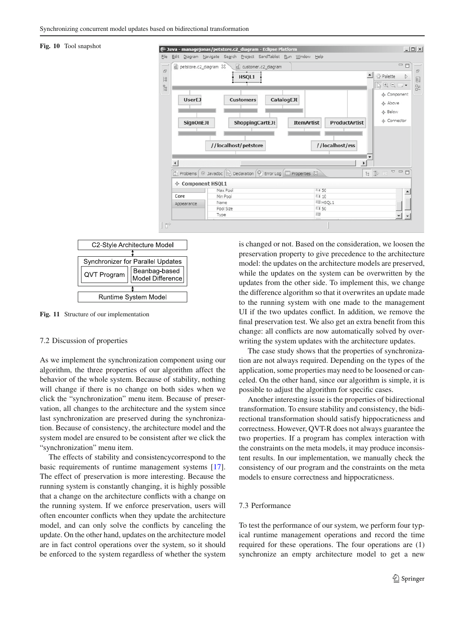<span id="page-10-0"></span>



<span id="page-10-1"></span>**Fig. 11** Structure of our implementation

#### 7.2 Discussion of properties

As we implement the synchronization component using our algorithm, the three properties of our algorithm affect the behavior of the whole system. Because of stability, nothing will change if there is no change on both sides when we click the "synchronization" menu item. Because of preservation, all changes to the architecture and the system since last synchronization are preserved during the synchronization. Because of consistency, the architecture model and the system model are ensured to be consistent after we click the "synchronization" menu item.

The effects of stability and consistencycorrespond to the basic requirements of runtime management systems [\[17](#page-14-15)]. The effect of preservation is more interesting. Because the running system is constantly changing, it is highly possible that a change on the architecture conflicts with a change on the running system. If we enforce preservation, users will often encounter conflicts when they update the architecture model, and can only solve the conflicts by canceling the update. On the other hand, updates on the architecture model are in fact control operations over the system, so it should be enforced to the system regardless of whether the system is changed or not. Based on the consideration, we loosen the preservation property to give precedence to the architecture model: the updates on the architecture models are preserved, while the updates on the system can be overwritten by the updates from the other side. To implement this, we change the difference algorithm so that it overwrites an update made to the running system with one made to the management UI if the two updates conflict. In addition, we remove the final preservation test. We also get an extra benefit from this change: all conflicts are now automatically solved by overwriting the system updates with the architecture updates.

The case study shows that the properties of synchronization are not always required. Depending on the types of the application, some properties may need to be loosened or canceled. On the other hand, since our algorithm is simple, it is possible to adjust the algorithm for specific cases.

Another interesting issue is the properties of bidirectional transformation. To ensure stability and consistency, the bidirectional transformation should satisfy hippocraticness and correctness. However, QVT-R does not always guarantee the two properties. If a program has complex interaction with the constraints on the meta models, it may produce inconsistent results. In our implementation, we manually check the consistency of our program and the constraints on the meta models to ensure correctness and hippocraticness.

## 7.3 Performance

To test the performance of our system, we perform four typical runtime management operations and record the time required for these operations. The four operations are (1) synchronize an empty architecture model to get a new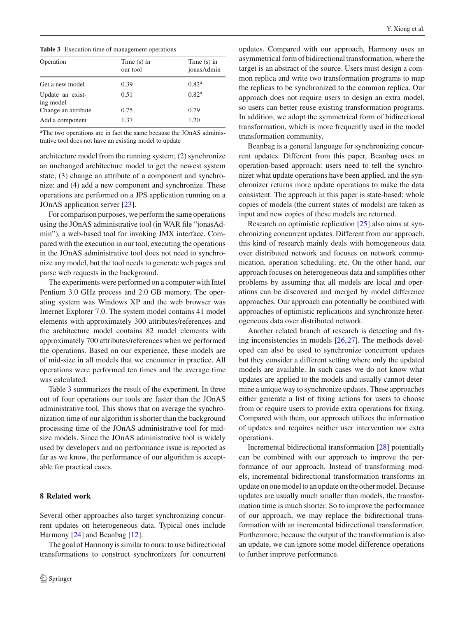**Table 3** Execution time of management operations

<span id="page-11-1"></span>

| Operation                     | Time $(s)$ in<br>our tool | Time $(s)$ in<br>jonasAdmin |
|-------------------------------|---------------------------|-----------------------------|
| Get a new model               | 0.39                      | 0.82 <sup>a</sup>           |
| Update an exist-<br>ing model | 0.51                      | 0.82 <sup>a</sup>           |
| Change an attribute           | 0.75                      | 0.79                        |
| Add a component               | 1.37                      | 1.20                        |

aThe two operations are in fact the same because the JOnAS administrative tool does not have an existing model to update

architecture model from the running system; (2) synchronize an unchanged architecture model to get the newest system state; (3) change an attribute of a component and synchronize; and (4) add a new component and synchronize. These operations are performed on a JPS application running on a JOnAS application server [\[23](#page-14-21)].

For comparison purposes, we perform the same operations using the JOnAS administrative tool (in WAR file "jonasAdmin"), a web-based tool for invoking JMX interface. Compared with the execution in our tool, executing the operations in the JOnAS administrative tool does not need to synchronize any model, but the tool needs to generate web pages and parse web requests in the background.

The experiments were performed on a computer with Intel Pentium 3.0 GHz process and 2.0 GB memory. The operating system was Windows XP and the web browser was Internet Explorer 7.0. The system model contains 41 model elements with approximately 300 attributes/references and the architecture model contains 82 model elements with approximately 700 attributes/references when we performed the operations. Based on our experience, these models are of mid-size in all models that we encounter in practice. All operations were performed ten times and the average time was calculated.

Table [3](#page-11-1) summarizes the result of the experiment. In three out of four operations our tools are faster than the JOnAS administrative tool. This shows that on average the synchronization time of our algorithm is shorter than the background processing time of the JOnAS administrative tool for midsize models. Since the JOnAS administrative tool is widely used by developers and no performance issue is reported as far as we know, the performance of our algorithm is acceptable for practical cases.

## <span id="page-11-0"></span>**8 Related work**

Several other approaches also target synchronizing concurrent updates on heterogeneous data. Typical ones include Harmony [\[24](#page-14-22)] and Beanbag [\[12\]](#page-14-10).

The goal of Harmony is similar to ours: to use bidirectional transformations to construct synchronizers for concurrent

updates. Compared with our approach, Harmony uses an asymmetrical form of bidirectional transformation, where the target is an abstract of the source. Users must design a common replica and write two transformation programs to map the replicas to be synchronized to the common replica. Our approach does not require users to design an extra model, so users can better reuse existing transformation programs. In addition, we adopt the symmetrical form of bidirectional transformation, which is more frequently used in the model transformation community.

Beanbag is a general language for synchronizing concurrent updates. Different from this paper, Beanbag uses an operation-based approach: users need to tell the synchronizer what update operations have been applied, and the synchronizer returns more update operations to make the data consistent. The approach in this paper is state-based: whole copies of models (the current states of models) are taken as input and new copies of these models are returned.

Research on optimistic replication [\[25\]](#page-14-23) also aims at synchronizing concurrent updates. Different from our approach, this kind of research mainly deals with homogeneous data over distributed network and focuses on network communication, operation scheduling, etc. On the other hand, our approach focuses on heterogeneous data and simplifies other problems by assuming that all models are local and operations can be discovered and merged by model difference approaches. Our approach can potentially be combined with approaches of optimistic replications and synchronize heterogeneous data over distributed network.

Another related branch of research is detecting and fixing inconsistencies in models [\[26](#page-14-24)[,27](#page-14-25)]. The methods developed can also be used to synchronize concurrent updates but they consider a different setting where only the updated models are available. In such cases we do not know what updates are applied to the models and usually cannot determine a unique way to synchronize updates. These approaches either generate a list of fixing actions for users to choose from or require users to provide extra operations for fixing. Compared with them, our approach utilizes the information of updates and requires neither user intervention nor extra operations.

Incremental bidirectional transformation [\[28\]](#page-14-26) potentially can be combined with our approach to improve the performance of our approach. Instead of transforming models, incremental bidirectional transformation transforms an update on one model to an update on the other model. Because updates are usually much smaller than models, the transformation time is much shorter. So to improve the performance of our approach, we may replace the bidirectional transformation with an incremental bidirectional transformation. Furthermore, because the output of the transformation is also an update, we can ignore some model difference operations to further improve performance.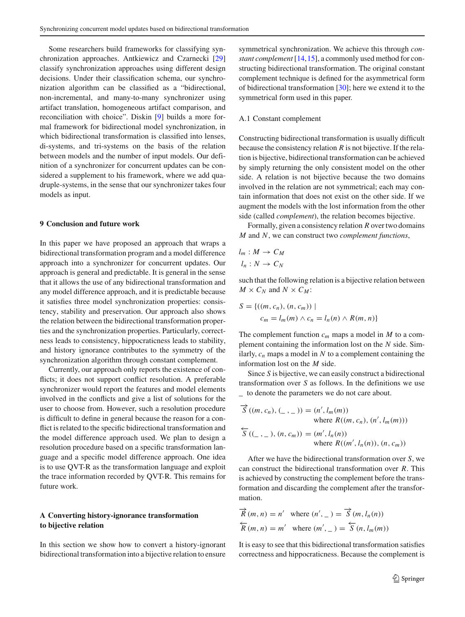Some researchers build frameworks for classifying synchronization approaches. Antkiewicz and Czarnecki [\[29\]](#page-14-27) classify synchronization approaches using different design decisions. Under their classification schema, our synchronization algorithm can be classified as a "bidirectional, non-incremental, and many-to-many synchronizer using artifact translation, homogeneous artifact comparison, and reconciliation with choice". Diskin [\[9\]](#page-14-7) builds a more formal framework for bidirectional model synchronization, in which bidirectional transformation is classified into lenses, di-systems, and tri-systems on the basis of the relation between models and the number of input models. Our definition of a synchronizer for concurrent updates can be considered a supplement to his framework, where we add quadruple-systems, in the sense that our synchronizer takes four models as input.

#### <span id="page-12-1"></span>**9 Conclusion and future work**

In this paper we have proposed an approach that wraps a bidirectional transformation program and a model difference approach into a synchronizer for concurrent updates. Our approach is general and predictable. It is general in the sense that it allows the use of any bidirectional transformation and any model difference approach, and it is predictable because it satisfies three model synchronization properties: consistency, stability and preservation. Our approach also shows the relation between the bidirectional transformation properties and the synchronization properties. Particularly, correctness leads to consistency, hippocraticness leads to stability, and history ignorance contributes to the symmetry of the synchronization algorithm through constant complement.

Currently, our approach only reports the existence of conflicts; it does not support conflict resolution. A preferable synchronizer would report the features and model elements involved in the conflicts and give a list of solutions for the user to choose from. However, such a resolution procedure is difficult to define in general because the reason for a conflict is related to the specific bidirectional transformation and the model difference approach used. We plan to design a resolution procedure based on a specific transformation language and a specific model difference approach. One idea is to use QVT-R as the transformation language and exploit the trace information recorded by QVT-R. This remains for future work.

## <span id="page-12-0"></span>**A Converting history-ignorance transformation to bijective relation**

In this section we show how to convert a history-ignorant bidirectional transformation into a bijective relation to ensure symmetrical synchronization. We achieve this through *constant complement* [\[14](#page-14-12),[15\]](#page-14-13), a commonly used method for constructing bidirectional transformation. The original constant complement technique is defined for the asymmetrical form of bidirectional transformation [\[30\]](#page-15-0); here we extend it to the symmetrical form used in this paper.

#### A.1 Constant complement

Constructing bidirectional transformation is usually difficult because the consistency relation *R* is not bijective. If the relation is bijective, bidirectional transformation can be achieved by simply returning the only consistent model on the other side. A relation is not bijective because the two domains involved in the relation are not symmetrical; each may contain information that does not exist on the other side. If we augment the models with the lost information from the other side (called *complement*), the relation becomes bijective.

Formally, given a consistency relation *R* over two domains *M* and *N*, we can construct two *complement functions*,

$$
l_m: M \to C_M
$$

$$
l_n: N \to C_N
$$

such that the following relation is a bijective relation between  $M \times C_N$  and  $N \times C_M$ :

$$
S = \{((m, c_n), (n, c_m)) \mid
$$
  

$$
c_m = l_m(m) \land c_n = l_n(n) \land R(m, n)\}
$$

The complement function  $c_m$  maps a model in *M* to a complement containing the information lost on the *N* side. Similarly,  $c_n$  maps a model in  $N$  to a complement containing the information lost on the *M* side.

Since *S* is bijective, we can easily construct a bidirectional transformation over *S* as follows. In the definitions we use \_ to denote the parameters we do not care about.

$$
\vec{S}((m, c_n), (-, -)) = (n', l_m(m))
$$
  
where  $R((m, c_n), (n', l_m(m)))$   

$$
\vec{S}((-, -), (n, c_m)) = (m', l_n(n))
$$
  
where  $R((m', l_n(n)), (n, c_m))$ 

After we have the bidirectional transformation over *S*, we can construct the bidirectional transformation over *R*. This is achieved by constructing the complement before the transformation and discarding the complement after the transformation.

$$
\overrightarrow{R}(m, n) = n' \text{ where } (n', -) = \overrightarrow{S}(m, l_n(n))
$$
  

$$
\overleftarrow{R}(m, n) = m' \text{ where } (m', -) = \overleftarrow{S}(n, l_m(m))
$$

It is easy to see that this bidirectional transformation satisfies correctness and hippocraticness. Because the complement is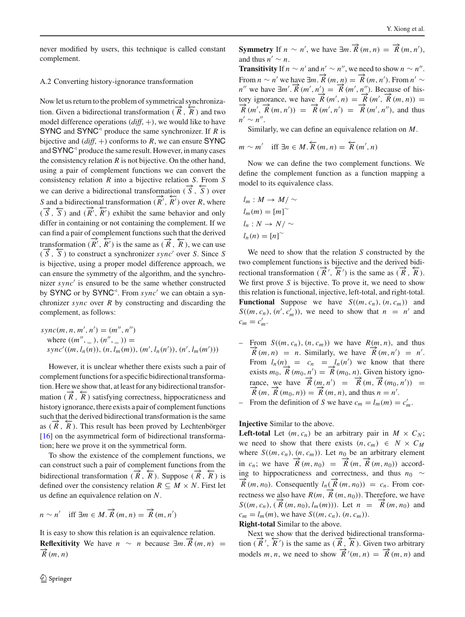never modified by users, this technique is called constant complement.

## A.2 Converting history-ignorance transformation

Now let us return to the problem of symmetrical synchronization. Given a bidirectional transformation  $(\vec{R}, \vec{R})$  and two model difference operations (*diff*, +), we would like to have SYNC and SYNC produce the same synchronizer. If *R* is bijective and  $\left(\frac{diff}{}, +\right)$  conforms to *R*, we can ensure SYNC and  $SYNC<sup>1</sup>$  produce the same result. However, in many cases the consistency relation  $R$  is not bijective. On the other hand, using a pair of complement functions we can convert the consistency relation *R* into a bijective relation *S*. From *S* we can derive a bidirectional transformation  $(\vec{S}, \vec{S})$  over *S* and a bidirectional transformation  $\overrightarrow{R}$ ,  $\overleftarrow{R'}$  over *R*, where  $(\vec{S}, \vec{S})$  and  $(\vec{R}',$  $\overleftarrow{R'}$  exhibit the same behavior and only differ in containing or not containing the complement. If we can find a pair of complement functions such that the derived transformation  $\overrightarrow{R}$ ,  $\overleftarrow{R'}$  is the same as  $\overrightarrow{R}$ ,  $\overleftarrow{R}$ , we can use  $(\vec{S}, \vec{S})$  to construct a synchronizer *sync'* over *S*. Since *S* is bijective, using a proper model difference approach, we can ensure the symmetry of the algorithm, and the synchronizer  $sync'$  is ensured to be the same whether constructed by SYNC or by SYNC<sup>«</sup>. From sync' we can obtain a synchronizer *sync* over *R* by constructing and discarding the complement, as follows:

 $sync(m, n, m', n') = (m'', n'')$ where  $((m'', -), (n'', -)) =$  $sync'((m, l_n(n)), (n, l_m(m)), (m', l_n(n')), (n', l_m(m')))$ 

However, it is unclear whether there exists such a pair of complement functions for a specific bidirectional transformation. Here we show that, at least for any bidirectional transformation  $(\vec{R}, \vec{R})$  satisfying correctness, hippocraticness and history ignorance, there exists a pair of complement functions such that the derived bidirectional transformation is the same as  $(\vec{R}, \vec{R})$ . This result has been proved by Lechtenbörger [\[16](#page-14-14)] on the asymmetrical form of bidirectional transformation; here we prove it on the symmetrical form.

To show the existence of the complement functions, we can construct such a pair of complement functions from the bidirectional transformation ( $\vec{R}$ ,  $\vec{R}$ ). Suppose ( $\vec{R}$ ,  $\vec{R}$ ) is defined over the consistency relation  $R \subseteq M \times N$ . First let us define an equivalence relation on *N*.

$$
n \sim n' \quad \text{iff } \exists m \in M. \overrightarrow{R}(m, n) = \overrightarrow{R}(m, n')
$$

It is easy to show this relation is an equivalence relation.

**Reflexitivity** We have  $n \sim n$  because  $\exists m \cdot \overrightarrow{R}(m, n) = \overrightarrow{R}(m, n)$ 

**Symmetry** If  $n \sim n'$ , we have  $\exists m \cdot \overrightarrow{R}(m, n) = \overrightarrow{R}(m, n')$ , and thus  $n' \sim n$ .

**Transitivity** If  $n \sim n'$  and  $n' \sim n''$ , we need to show  $n \sim n''$ . From  $n \sim n'$  we have  $\exists m \cdot \overline{R}$  (*m*, *n*) =  $\overline{R}$  (*m*, *n'*). From  $n' \sim$ *n*<sup>*n*</sup> we have  $\exists m$ .  $\overline{R}$  ( $m$ ',  $n'$ ) =  $\overline{R}$  ( $m'$ ,  $n''$ ). Because of history ignorance, we have  $\overrightarrow{R}(m', n) = \overrightarrow{R}(m', \overrightarrow{R}(m, n)) = \overrightarrow{R}(m', \overrightarrow{R}(m, n)) = \overrightarrow{R}(m', \overrightarrow{R}(m, n')) = \overrightarrow{R}(m', n') = \overrightarrow{R}(m', n'')$ , and thus  $\overrightarrow{R}(m, n') = \overrightarrow{R}(m', n') = \overrightarrow{R}(m', n'')$ , and thus  $n' \sim n''$ .

Similarly, we can define an equivalence relation on *M*.

$$
m \sim m'
$$
 iff  $\exists n \in M, \overleftarrow{R}(m, n) = \overleftarrow{R}(m', n)$ 

Now we can define the two complement functions. We define the complement function as a function mapping a model to its equivalence class.

$$
l_m : M \to M/\sim
$$
  
\n
$$
l_m(m) = [m]^\sim
$$
  
\n
$$
l_n : N \to N/\sim
$$
  
\n
$$
l_n(n) = [n]^\sim
$$

We need to show that the relation *S* constructed by the two complement functions is bijective and the derived bidirectional transformation  $(\vec{R}', \vec{R}')$  is the same as  $(\vec{R}, \vec{R})$ . We first prove *S* is bijective. To prove it, we need to show this relation is functional, injective, left-total, and right-total. **Functional** Suppose we have  $S((m, c_n), (n, c_m))$  and  $S((m, c_n), (n', c'_m))$ , we need to show that  $n = n'$  and  $c_m = c'_m$ .

- From *S*((*m*, *c<sub>n</sub>*), (*n*, *c<sub>m</sub>*)) we have *R*(*m*, *n*), and thus  $\overrightarrow{R}(m, n) = n$ . Similarly, we have  $\overrightarrow{R}(m, n') = n'$ . From  $l_n(n)$  =  $c_n$  =  $l_n(n')$  we know that there exists  $m_0$ ,  $\overrightarrow{R}(m_0, n') = \overrightarrow{R}(m_0, n)$ . Given history ignorance, we have  $\overline{R}(m, n') = \overline{R}(m, \overline{R}(m_0, n'))$  $\overrightarrow{R}$  (*m*,  $\overrightarrow{R}$  (*m*,  $\overrightarrow{R}$  (*m*, *n*)) =  $\overrightarrow{R}$  (*m*, *n*), and thus *n* = *n'*.
- From the definition of *S* we have  $c_m = l_m(m) = c'_m$ .

#### **Injective** Similar to the above.

**Left-total** Let  $(m, c_n)$  be an arbitrary pair in  $M \times C_N$ ; we need to show that there exists  $(n, c_m) \in N \times C_M$ where  $S((m, c_n), (n, c_m))$ . Let  $n_0$  be an arbitrary element in  $c_n$ ; we have  $\overrightarrow{R}(m, n_0) = \overrightarrow{R}(m, \overrightarrow{R}(m, n_0))$  according to hippocraticness and correctness, and thus *n*<sub>0</sub> ∼<br>  $\overrightarrow{R}(m, n_0)$ . Consequently *l<sub>n</sub>*( $\overrightarrow{R}(m, n_0)$ ) = *c<sub>n</sub>*. From correctness we also have  $R(m, \overrightarrow{R}(m, n_0))$ . Therefore, we have *S*((*m*, *c<sub>n</sub>*),  $(\overline{R}(m, n_0), l_m(m))$ ). Let  $n = \overline{R}(m, n_0)$  and  $c_m = l_m(m)$ , we have  $S((m, c_n), (n, c_m))$ . **Right-total** Similar to the above.

Next we show that the derived bidirectional transformation  $(\overrightarrow{R}', \overrightarrow{R}')$  is the same as  $(\overrightarrow{R}, \overrightarrow{R})$ . Given two arbitrary models *m*, *n*, we need to show  $\overrightarrow{R}'(m, n) = \overrightarrow{R}(m, n)$  and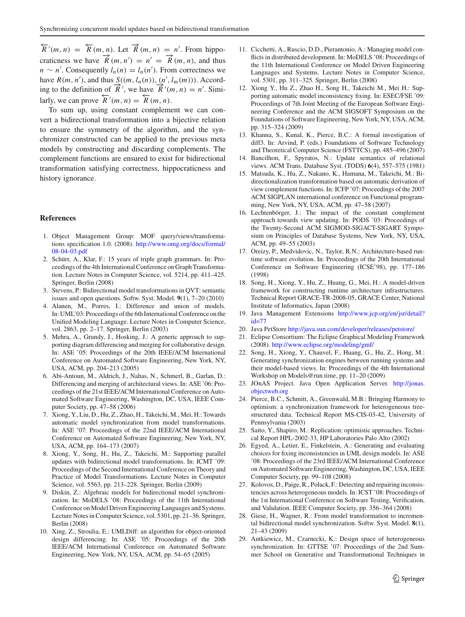$\overleftarrow{R}'(m, n) = \overleftarrow{R}(m, n)$ . Let  $\overrightarrow{R}(m, n) = n'$ . From hippocraticness we have  $\overrightarrow{R}(m, n') = n' = \overrightarrow{R}(m, n)$ , and thus  $n \sim n'$ . Consequently  $l_n(n) = l_n(n')$ . From correctness we have  $R(m, n')$ , and thus  $S((m, l_n(n)), (n', l_m(m)))$ . According to the definition of  $\overline{R}$ , we have  $\overline{R}$   $\prime$   $(m, n) = n'$ . Similarly, we can prove  $R'(m, n) = R(m, n)$ .

To sum up, using constant complement we can convert a bidirectional transformation into a bijective relation to ensure the symmetry of the algorithm, and the synchronizer constructed can be applied to the previous meta models by constructing and discarding complements. The complement functions are ensured to exist for bidirectional transformation satisfying correctness, hippocraticness and history ignorance.

## **References**

- <span id="page-14-0"></span>1. Object Management Group: MOF query/views/transformations specification 1.0. (2008). [http://www.omg.org/docs/formal/](http://www.omg.org/docs/formal/08-04-03.pdf) [08-04-03.pdf](http://www.omg.org/docs/formal/08-04-03.pdf)
- <span id="page-14-1"></span>2. Schürr, A., Klar, F.: 15 years of triple graph grammars. In: Proceedings of the 4th International Conference on Graph Transformation. Lecture Notes in Computer Science, vol. 5214, pp. 411–425. Springer, Berlin (2008)
- <span id="page-14-2"></span>3. Stevens, P.: Bidirectional model transformations in QVT: semantic issues and open questions. Softw. Syst. Model. **9**(1), 7–20 (2010)
- <span id="page-14-3"></span>4. Alanen, M., Porres, I.: Difference and union of models. In: UML'03: Proceedings of the 6th International Conference on the Unified Modeling Language. Lecture Notes in Computer Science, vol. 2863, pp. 2–17. Springer, Berlin (2003)
- 5. Mehra, A., Grundy, J., Hosking, J.: A generic approach to supporting diagram differencing and merging for collaborative design. In: ASE '05: Proceedings of the 20th IEEE/ACM International Conference on Automated Software Engineering, New York, NY, USA, ACM, pp. 204–213 (2005)
- <span id="page-14-4"></span>6. Abi-Antoun, M., Aldrich, J., Nahas, N., Schmerl, B., Garlan, D.: Differencing and merging of architectural views. In: ASE '06: Proceedings of the 21st IEEE/ACM International Conference on Automated Software Engineering, Washington, DC, USA, IEEE Computer Society, pp. 47–58 (2006)
- <span id="page-14-5"></span>7. Xiong, Y., Liu, D., Hu, Z., Zhao, H., Takeichi, M., Mei, H.: Towards automatic model synchronization from model transformations. In: ASE '07: Proceedings of the 22nd IEEE/ACM International Conference on Automated Software Engineering, New York, NY, USA, ACM, pp. 164–173 (2007)
- <span id="page-14-6"></span>8. Xiong, Y., Song, H., Hu, Z., Takeichi, M.: Supporting parallel updates with bidirectional model transformations. In: ICMT '09: Proceedings of the Second International Conference on Theory and Practice of Model Transformations. Lecture Notes in Computer Science, vol. 5563, pp. 213–228. Springer, Berlin (2009)
- <span id="page-14-7"></span>9. Diskin, Z.: Algebraic models for bidirectional model synchronization. In: MoDELS '08: Proceedings of the 11th International Conference on Model Driven Engineering Languages and Systems. Lecture Notes in Computer Science, vol. 5301, pp. 21–36. Springer, Berlin (2008)
- <span id="page-14-8"></span>10. Xing, Z., Stroulia, E.: UMLDiff: an algorithm for object-oriented design differencing. In: ASE '05: Proceedings of the 20th IEEE/ACM International Conference on Automated Software Engineering, New York, NY, USA, ACM, pp. 54–65 (2005)
- <span id="page-14-9"></span>11. Cicchetti, A., Ruscio, D.D., Pierantonio, A.: Managing model conflicts in distributed development. In: MoDELS '08: Proceedings of the 11th International Conference on Model Driven Engineering Languages and Systems. Lecture Notes in Computer Science, vol. 5301, pp. 311–325. Springer, Berlin (2008)
- <span id="page-14-10"></span>12. Xiong Y., Hu Z., Zhao H., Song H., Takeichi M., Mei H.: Supporting automatic model inconsistency fixing. In: ESEC/FSE '09: Proceedings of 7th Joint Meeting of the European Software Engineering Conference and the ACM SIGSOFT Symposium on the Foundations of Software Engineering, New York, NY, USA, ACM, pp. 315–324 (2009)
- <span id="page-14-11"></span>13. Khanna, S., Kunal, K., Pierce, B.C.: A formal investigation of diff3. In: Arvind, P. (eds.) Foundations of Software Technology and Theoretical Computer Science (FSTTCS), pp. 485–496 (2007)
- <span id="page-14-12"></span>14. Bancilhon, F., Spyratos, N.: Update semantics of relational views. ACM Trans. Database Syst. (TODS) **6**(4), 557–575 (1981)
- <span id="page-14-13"></span>15. Matsuda, K., Hu, Z., Nakano, K., Hamana, M., Takeichi, M.: Bidirectionalization transformation based on automatic derivation of view complement functions. In: ICFP '07: Proceedings of the 2007 ACM SIGPLAN international conference on Functional programming, New York, NY, USA, ACM, pp. 47–58 (2007)
- <span id="page-14-14"></span>16. Lechtenbörger, J.: The impact of the constant complement approach towards view updating. In: PODS '03: Proceedings of the Twenty-Second ACM SIGMOD-SIGACT-SIGART Symposium on Principles of Database Systems, New York, NY, USA, ACM, pp. 49–55 (2003)
- <span id="page-14-15"></span>17. Oreizy, P., Medvidovic, N., Taylor, R.N.: Architecture-based runtime software evolution. In: Proceedings of the 20th International Conference on Software Engineering (ICSE'98), pp. 177–186 (1998)
- <span id="page-14-16"></span>18. Song, H., Xiong, Y., Hu, Z., Huang, G., Mei, H.: A model-driven framework for constructing runtime architecture infrastructures. Technical Report GRACE-TR-2008-05, GRACE Center, National Institute of Informatics, Japan (2008)
- <span id="page-14-17"></span>19. Java Management Extensions [http://www.jcp.org/en/jsr/detail?](http://www.jcp.org/en/jsr/detail?id=77)  $id = 77$
- <span id="page-14-18"></span>20. Java PetStore <http://java.sun.com/developer/releases/petstore/>
- <span id="page-14-19"></span>21. Eclipse Consortium: The Eclipse Graphical Modeling Framework (2008). <http://www.eclipse.org/modeling/gmf/>
- <span id="page-14-20"></span>22. Song, H., Xiong, Y., Chauvel, F., Huang, G., Hu, Z., Hong, M.: Generating synchronization engines between running systems and their model-based views. In: Proceedings of the 4th International Workshop on Models@run.time, pp. 11–20 (2009)
- <span id="page-14-21"></span>23. JOnAS Project. Java Open Application Server. [http://jonas.](http://jonas.objectweb.org) [objectweb.org](http://jonas.objectweb.org)
- <span id="page-14-22"></span>24. Pierce, B.C., Schmitt, A., Greenwald, M.B.: Bringing Harmony to optimism: a synchronization framework for heterogeneous treestructured data. Technical Report MS-CIS-03-42, University of Pennsylvania (2003)
- <span id="page-14-23"></span>25. Saito, Y., Shapiro, M.: Replication: optimistic approaches. Technical Report HPL-2002-33, HP Laboratories Palo Alto (2002)
- <span id="page-14-24"></span>26. Egyed, A., Letier, E., Finkelstein, A.: Generating and evaluating choices for fixing inconsistencies in UML design models. In: ASE '08: Proceedings of the 23rd IEEE/ACM International Conference on Automated Software Engineering,Washington, DC, USA, IEEE Computer Society, pp. 99–108 (2008)
- <span id="page-14-25"></span>27. Kolovos, D., Paige, R., Polack, F.: Detecting and repairing inconsistencies across heterogeneous models. In: ICST '08: Proceedings of the 1st International Conference on Software Testing, Verification, and Validation. IEEE Computer Society, pp. 356–364 (2008)
- <span id="page-14-26"></span>28. Giese, H., Wagner, R.: From model transformation to incremental bidirectional model synchronization. Softw. Syst. Model. **8**(1), 21–43 (2009)
- <span id="page-14-27"></span>29. Antkiewicz, M., Czarnecki, K.: Design space of heterogeneous synchronization. In: GTTSE '07: Proceedings of the 2nd Summer School on Generative and Transformational Techniques in